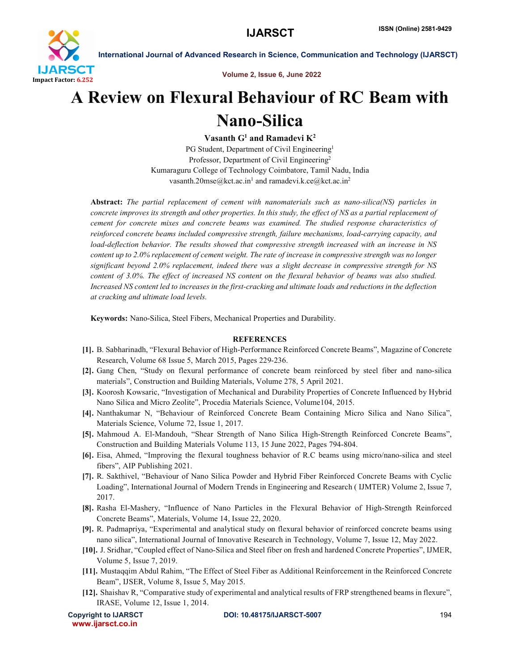

International Journal of Advanced Research in Science, Communication and Technology (IJARSCT)

Volume 2, Issue 6, June 2022

## A Review on Flexural Behaviour of RC Beam with Nano-Silica

Vasanth  $G^1$  and Ramadevi  $K^2$ 

PG Student, Department of Civil Engineering<sup>1</sup> Professor, Department of Civil Engineering2 Kumaraguru College of Technology Coimbatore, Tamil Nadu, India vasanth.20mse@kct.ac.in<sup>1</sup> and ramadevi.k.ce@kct.ac.in<sup>2</sup>

Abstract: *The partial replacement of cement with nanomaterials such as nano-silica(NS) particles in concrete improves its strength and other properties. In this study, the effect of NS as a partial replacement of cement for concrete mixes and concrete beams was examined. The studied response characteristics of reinforced concrete beams included compressive strength, failure mechanisms, load-carrying capacity, and load-deflection behavior. The results showed that compressive strength increased with an increase in NS content up to 2.0% replacement of cement weight. The rate of increase in compressive strength was no longer significant beyond 2.0% replacement, indeed there was a slight decrease in compressive strength for NS content of 3.0%. The effect of increased NS content on the flexural behavior of beams was also studied. Increased NS content led to increases in the first-cracking and ultimate loads and reductions in the deflection at cracking and ultimate load levels.*

Keywords: Nano-Silica, Steel Fibers, Mechanical Properties and Durability.

## **REFERENCES**

- [1]. B. Sabharinadh, "Flexural Behavior of High-Performance Reinforced Concrete Beams", Magazine of Concrete Research, Volume 68 Issue 5, March 2015, Pages 229-236.
- [2]. Gang Chen, "Study on flexural performance of concrete beam reinforced by steel fiber and nano-silica materials", Construction and Building Materials, Volume 278, 5 April 2021.
- [3]. Koorosh Kowsaric, "Investigation of Mechanical and Durability Properties of Concrete Influenced by Hybrid Nano Silica and Micro Zeolite", Procedia Materials Science, Volume104, 2015.
- [4]. Nanthakumar N, "Behaviour of Reinforced Concrete Beam Containing Micro Silica and Nano Silica", Materials Science, Volume 72, Issue 1, 2017.
- [5]. Mahmoud A. El-Mandouh, "Shear Strength of Nano Silica High-Strength Reinforced Concrete Beams", Construction and Building Materials Volume 113, 15 June 2022, Pages 794-804.
- [6]. Eisa, Ahmed, "Improving the flexural toughness behavior of R.C beams using micro/nano-silica and steel fibers", AIP Publishing 2021.
- [7]. R. Sakthivel, "Behaviour of Nano Silica Powder and Hybrid Fiber Reinforced Concrete Beams with Cyclic Loading", International Journal of Modern Trends in Engineering and Research ( IJMTER) Volume 2, Issue 7, 2017.
- [8]. Rasha El-Mashery, "Influence of Nano Particles in the Flexural Behavior of High-Strength Reinforced Concrete Beams", Materials, Volume 14, Issue 22, 2020.
- [9]. R. Padmapriya, "Experimental and analytical study on flexural behavior of reinforced concrete beams using nano silica", International Journal of Innovative Research in Technology, Volume 7, Issue 12, May 2022.
- [10]. J. Sridhar, "Coupled effect of Nano-Silica and Steel fiber on fresh and hardened Concrete Properties", IJMER, Volume 5, Issue 7, 2019.
- [11]. Mustaqqim Abdul Rahim, "The Effect of Steel Fiber as Additional Reinforcement in the Reinforced Concrete Beam", IJSER, Volume 8, Issue 5, May 2015.
- [12]. Shaishav R, "Comparative study of experimental and analytical results of FRP strengthened beams in flexure", IRASE, Volume 12, Issue 1, 2014.

www.ijarsct.co.in